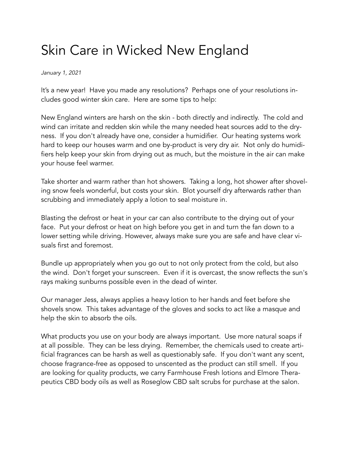## Skin Care in Wicked New England

*January 1, 2021*

It's a new year! Have you made any resolutions? Perhaps one of your resolutions includes good winter skin care. Here are some tips to help:

New England winters are harsh on the skin - both directly and indirectly. The cold and wind can irritate and redden skin while the many needed heat sources add to the dryness. If you don't already have one, consider a humidifier. Our heating systems work hard to keep our houses warm and one by-product is very dry air. Not only do humidifiers help keep your skin from drying out as much, but the moisture in the air can make your house feel warmer.

Take shorter and warm rather than hot showers. Taking a long, hot shower after shoveling snow feels wonderful, but costs your skin. Blot yourself dry afterwards rather than scrubbing and immediately apply a lotion to seal moisture in.

Blasting the defrost or heat in your car can also contribute to the drying out of your face. Put your defrost or heat on high before you get in and turn the fan down to a lower setting while driving. However, always make sure you are safe and have clear visuals first and foremost.

Bundle up appropriately when you go out to not only protect from the cold, but also the wind. Don't forget your sunscreen. Even if it is overcast, the snow reflects the sun's rays making sunburns possible even in the dead of winter.

Our manager Jess, always applies a heavy lotion to her hands and feet before she shovels snow. This takes advantage of the gloves and socks to act like a masque and help the skin to absorb the oils.

What products you use on your body are always important. Use more natural soaps if at all possible. They can be less drying. Remember, the chemicals used to create artificial fragrances can be harsh as well as questionably safe. If you don't want any scent, choose fragrance-free as opposed to unscented as the product can still smell. If you are looking for quality products, we carry Farmhouse Fresh lotions and Elmore Therapeutics CBD body oils as well as Roseglow CBD salt scrubs for purchase at the salon.